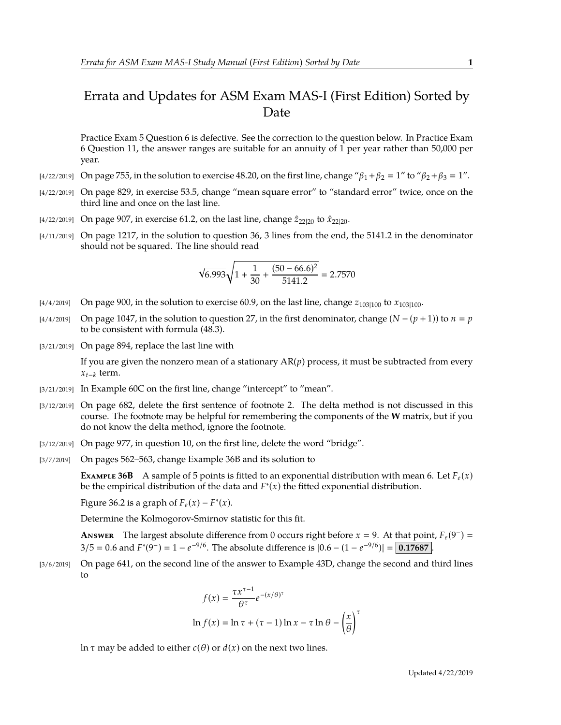## Errata and Updates for ASM Exam MAS-I (First Edition) Sorted by Date

Practice Exam 5 Question 6 is defective. See the correction to the question below. In Practice Exam 6 Question 11, the answer ranges are suitable for an annuity of 1 per year rather than 50,000 per year.

- [4/22/2019] On page 755, in the solution to exercise 48.20, on the first line, change " $\beta_1 + \beta_2 = 1$ " to " $\beta_2 + \beta_3 = 1$ ".
- [4/22/2019] On page 829, in exercise 53.5, change "mean square error" to "standard error" twice, once on the third line and once on the last line.
- [4/22/2019] On page 907, in exercise 61.2, on the last line, change  $\hat{z}_{22|20}$  to  $\hat{x}_{22|20}$ .
- [4/11/2019] On page 1217, in the solution to question 36, 3 lines from the end, the 5141.2 in the denominator should not be squared. The line should read

$$
\sqrt{6.993}\sqrt{1+\frac{1}{30}+\frac{(50-66.6)^2}{5141.2}} = 2.7570
$$

- [4/4/2019] On page 900, in the solution to exercise 60.9, on the last line, change  $z_{103|100}$  to  $x_{103|100}$ .
- $[4/4/2019]$  On page 1047, in the solution to question 27, in the first denominator, change  $(N (p + 1))$  to  $n = p$ to be consistent with formula (48.3).
- [3/21/2019] On page 894, replace the last line with

If you are given the nonzero mean of a stationary  $AR(p)$  process, it must be subtracted from every *xt*−*<sup>k</sup>* term.

- [3/21/2019] In Example 60C on the first line, change "intercept" to "mean".
- [3/12/2019] On page 682, delete the first sentence of footnote 2. The delta method is not discussed in this course. The footnote may be helpful for remembering the components of the **W** matrix, but if you do not know the delta method, ignore the footnote.
- [3/12/2019] On page 977, in question 10, on the first line, delete the word "bridge".
- [3/7/2019] On pages 562–563, change Example 36B and its solution to

**EXAMPLE 36B** A sample of 5 points is fitted to an exponential distribution with mean 6. Let  $F_e(x)$ be the empirical distribution of the data and *F* ∗ (*x*) the fitted exponential distribution.

Figure 36.2 is a graph of  $F_e(x) - F^*(x)$ .

Determine the Kolmogorov-Smirnov statistic for this fit.

**ANSWER** The largest absolute difference from 0 occurs right before  $x = 9$ . At that point,  $F_e(9^-) =$  $3/5 = 0.6$  and  $F^*(9^-) = 1 - e^{-9/6}$ . The absolute difference is  $|0.6 - (1 - e^{-9/6})| = 0.17687$ .

[3/6/2019] On page 641, on the second line of the answer to Example 43D, change the second and third lines to

$$
f(x) = \frac{\tau x^{\tau - 1}}{\theta^{\tau}} e^{-(x/\theta)^{\tau}}
$$
  
ln  $f(x) = \ln \tau + (\tau - 1) \ln x - \tau \ln \theta - \left(\frac{x}{\theta}\right)^{\tau}$ 

ln *τ* may be added to either *c*( $θ$ ) or *d*(*x*) on the next two lines.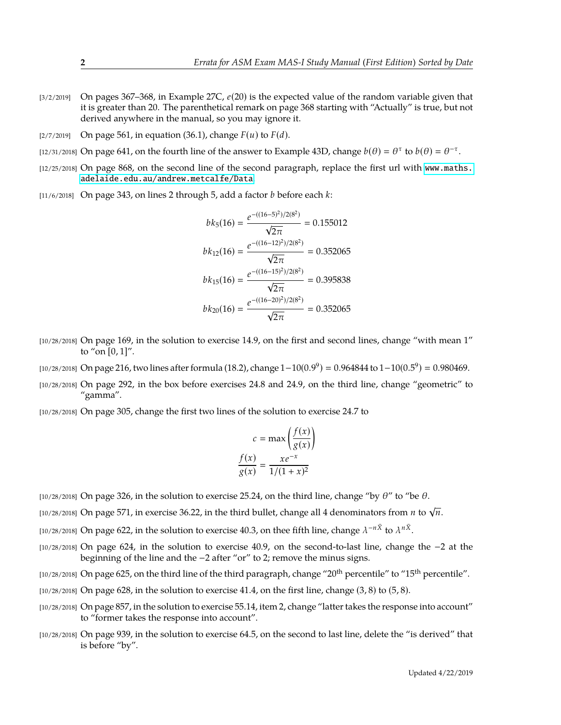- [3/2/2019] On pages 367–368, in Example 27C, *e*(20) is the expected value of the random variable given that it is greater than 20. The parenthetical remark on page 368 starting with "Actually" is true, but not derived anywhere in the manual, so you may ignore it.
- $[2/7/2019]$  On page 561, in equation (36.1), change  $F(u)$  to  $F(d)$ .
- [12/31/2018] On page 641, on the fourth line of the answer to Example 43D, change  $b(\theta) = \theta^{\tau}$  to  $b(\theta) = \theta^{-\tau}$ .
- [12/25/2018] On page 868, on the second line of the second paragraph, replace the first url with [www.maths.](www.maths.adelaide.edu.au/andrew.metcalfe/Data) [adelaide.edu.au/andrew.metcalfe/Data](www.maths.adelaide.edu.au/andrew.metcalfe/Data).
- [11/6/2018] On page 343, on lines 2 through 5, add a factor *b* before each *k*:

$$
bk_5(16) = \frac{e^{-((16-5)^2)/2(8^2)}}{\sqrt{2\pi}} = 0.155012
$$

$$
bk_{12}(16) = \frac{e^{-((16-12)^2)/2(8^2)}}{\sqrt{2\pi}} = 0.352065
$$

$$
bk_{15}(16) = \frac{e^{-((16-15)^2)/2(8^2)}}{\sqrt{2\pi}} = 0.395838
$$

$$
bk_{20}(16) = \frac{e^{-((16-20)^2)/2(8^2)}}{\sqrt{2\pi}} = 0.352065
$$

- [10/28/2018] On page 169, in the solution to exercise 14.9, on the first and second lines, change "with mean 1" to "on  $[0, 1]$ ".
- [10/28/2018] On page 216, two lines after formula (18.2), change  $1-10(0.9^9) = 0.964844$  to  $1-10(0.5^9) = 0.980469$ .
- [10/28/2018] On page 292, in the box before exercises 24.8 and 24.9, on the third line, change "geometric" to "gamma".
- [10/28/2018] On page 305, change the first two lines of the solution to exercise 24.7 to

$$
c = \max\left(\frac{f(x)}{g(x)}\right)
$$

$$
\frac{f(x)}{g(x)} = \frac{xe^{-x}}{1/(1+x)^2}
$$

- $[10/28/2018]$  On page 326, in the solution to exercise 25.24, on the third line, change "by  $\theta$ " to "be  $\theta$ .
- $\frac{1}{10}$  or  $\frac{1}{10}$  or  $\frac{1}{2}$  in exercise 36.22, in the third bullet, change all 4 denominators from *n* to  $\sqrt{n}$ .
- [10/28/2018] On page 622, in the solution to exercise 40.3, on thee fifth line, change  $\lambda^{-n\bar{X}}$  to  $\lambda^{n\bar{X}}$ .
- [10/28/2018] On page 624, in the solution to exercise 40.9, on the second-to-last line, change the −2 at the beginning of the line and the −2 after "or" to 2; remove the minus signs.
- [10/28/2018] On page 625, on the third line of the third paragraph, change "20<sup>th</sup> percentile" to "15<sup>th</sup> percentile".
- $(10/28/2018)$  On page 628, in the solution to exercise 41.4, on the first line, change  $(3, 8)$  to  $(5, 8)$ .
- [10/28/2018] On page 857, in the solution to exercise 55.14, item 2, change "latter takes the response into account" to "former takes the response into account".
- [10/28/2018] On page 939, in the solution to exercise 64.5, on the second to last line, delete the "is derived" that is before "by".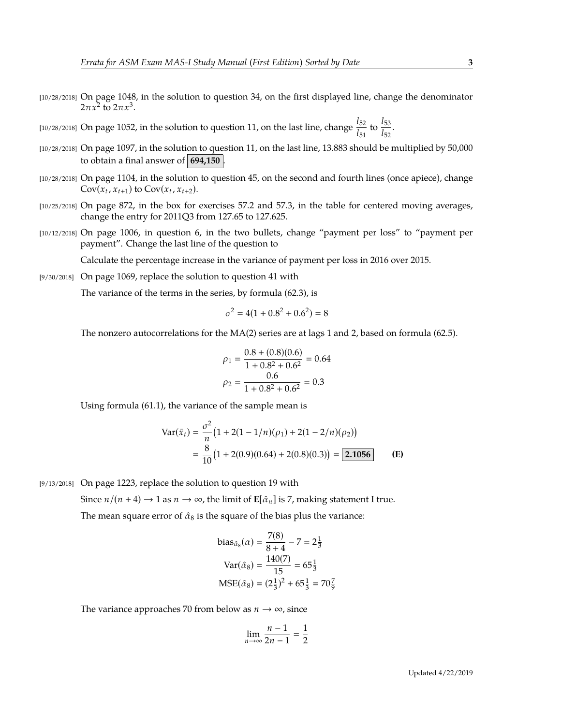- [10/28/2018] On page 1048, in the solution to question 34, on the first displayed line, change the denominator 2π $x^2$  to  $2πx^3$ .
- [10/28/2018] On page 1052, in the solution to question 11, on the last line, change  $\frac{l_{52}}{l_{51}}$  to  $\frac{l_{53}}{l_{52}}$  $\frac{1}{l_{52}}$ .
- [10/28/2018] On page 1097, in the solution to question 11, on the last line, 13.883 should be multiplied by 50,000 to obtain a final answer of  $\vert$  694,150  $\vert$
- [10/28/2018] On page 1104, in the solution to question 45, on the second and fourth lines (once apiece), change  $Cov(x_t, x_{t+1})$  to  $Cov(x_t, x_{t+2})$ .
- [10/25/2018] On page 872, in the box for exercises 57.2 and 57.3, in the table for centered moving averages, change the entry for 2011Q3 from 127.65 to 127.625.
- [10/12/2018] On page 1006, in question 6, in the two bullets, change "payment per loss" to "payment per payment". Change the last line of the question to

Calculate the percentage increase in the variance of payment per loss in 2016 over 2015.

[9/30/2018] On page 1069, replace the solution to question 41 with

The variance of the terms in the series, by formula (62.3), is

$$
\sigma^2 = 4(1 + 0.8^2 + 0.6^2) = 8
$$

The nonzero autocorrelations for the MA(2) series are at lags 1 and 2, based on formula (62.5).

$$
\rho_1 = \frac{0.8 + (0.8)(0.6)}{1 + 0.8^2 + 0.6^2} = 0.64
$$

$$
\rho_2 = \frac{0.6}{1 + 0.8^2 + 0.6^2} = 0.3
$$

Using formula (61.1), the variance of the sample mean is

$$
\begin{aligned} \text{Var}(\bar{x}_t) &= \frac{\sigma^2}{n} \left( 1 + 2(1 - 1/n)(\rho_1) + 2(1 - 2/n)(\rho_2) \right) \\ &= \frac{8}{10} \left( 1 + 2(0.9)(0.64) + 2(0.8)(0.3) \right) = \boxed{2.1056} \end{aligned} \tag{E}
$$

[9/13/2018] On page 1223, replace the solution to question 19 with

Since  $n/(n+4) \rightarrow 1$  as  $n \rightarrow \infty$ , the limit of  $\mathbf{E}[\hat{\alpha}_n]$  is 7, making statement I true.

The mean square error of  $\hat{\alpha}_8$  is the square of the bias plus the variance:

bias<sub>$$
\hat{\alpha}_8
$$</sub> $(\alpha) = \frac{7(8)}{8+4} - 7 = 2\frac{1}{3}$   
\nVar $(\hat{\alpha}_8)$  $= \frac{140(7)}{15} = 65\frac{1}{3}$   
\nMSE $(\hat{\alpha}_8)$  $= (2\frac{1}{3})^2 + 65\frac{1}{3} = 70\frac{7}{9}$ 

The variance approaches 70 from below as  $n \to \infty$ , since

$$
\lim_{n \to \infty} \frac{n-1}{2n-1} = \frac{1}{2}
$$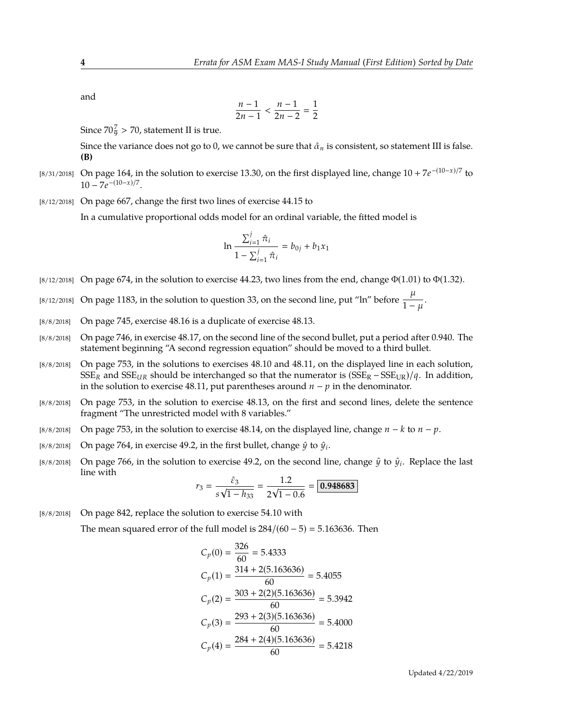and

$$
\frac{n-1}{2n-1} < \frac{n-1}{2n-2} = \frac{1}{2}
$$

Since  $70\frac{7}{9} > 70$ , statement II is true.

Since the variance does not go to 0, we cannot be sure that  $\hat{\alpha}_n$  is consistent, so statement III is false. **(B)**

- [8/31/2018] On page 164, in the solution to exercise 13.30, on the first displayed line, change 10 + 7*e* −(10−*x*)/7 to  $10 - 7e^{-(10-x)/7}.$
- [8/12/2018] On page 667, change the first two lines of exercise 44.15 to

In a cumulative proportional odds model for an ordinal variable, the fitted model is

$$
\ln \frac{\sum_{i=1}^{j} \hat{\pi}_i}{1 - \sum_{i=1}^{j} \hat{\pi}_i} = b_{0j} + b_1 x_1
$$

[8/12/2018] On page 674, in the solution to exercise 44.23, two lines from the end, change  $\Phi(1.01)$  to  $\Phi(1.32)$ .

[8/12/2018] On page 1183, in the solution to question 33, on the second line, put "ln" before  $\frac{\mu}{1}$  $\frac{1}{1-\mu}$ .

- [8/8/2018] On page 745, exercise 48.16 is a duplicate of exercise 48.13.
- [8/8/2018] On page 746, in exercise 48.17, on the second line of the second bullet, put a period after 0.940. The statement beginning "A second regression equation" should be moved to a third bullet.
- [8/8/2018] On page 753, in the solutions to exercises 48.10 and 48.11, on the displayed line in each solution,  $SSE_R$  and  $SSE_{UR}$  should be interchanged so that the numerator is  $(SSE_R - SSE_{UR})/q$ . In addition, in the solution to exercise 48.11, put parentheses around *n* − *p* in the denominator.
- [8/8/2018] On page 753, in the solution to exercise 48.13, on the first and second lines, delete the sentence fragment "The unrestricted model with 8 variables."
- [8/8/2018] On page 753, in the solution to exercise 48.14, on the displayed line, change *n* − *k* to *n* − *p*.
- [8/8/2018] On page 764, in exercise 49.2, in the first bullet, change  $\hat{y}$  to  $\hat{y}_i$ .
- [8/8/2018] On page 766, in the solution to exercise 49.2, on the second line, change  $\hat{y}$  to  $\hat{y}_i$ . Replace the last line with

$$
r_3 = \frac{\hat{\varepsilon}_3}{s\sqrt{1 - h_{33}}} = \frac{1.2}{2\sqrt{1 - 0.6}} = \boxed{0.948683}
$$

[8/8/2018] On page 842, replace the solution to exercise 54.10 with

The mean squared error of the full model is  $284/(60-5) = 5.163636$ . Then

$$
C_p(0) = \frac{326}{60} = 5.4333
$$
  
\n
$$
C_p(1) = \frac{314 + 2(5.163636)}{60} = 5.4055
$$
  
\n
$$
C_p(2) = \frac{303 + 2(2)(5.163636)}{60} = 5.3942
$$
  
\n
$$
C_p(3) = \frac{293 + 2(3)(5.163636)}{60} = 5.4000
$$
  
\n
$$
C_p(4) = \frac{284 + 2(4)(5.163636)}{60} = 5.4218
$$

Updated 4/22/2019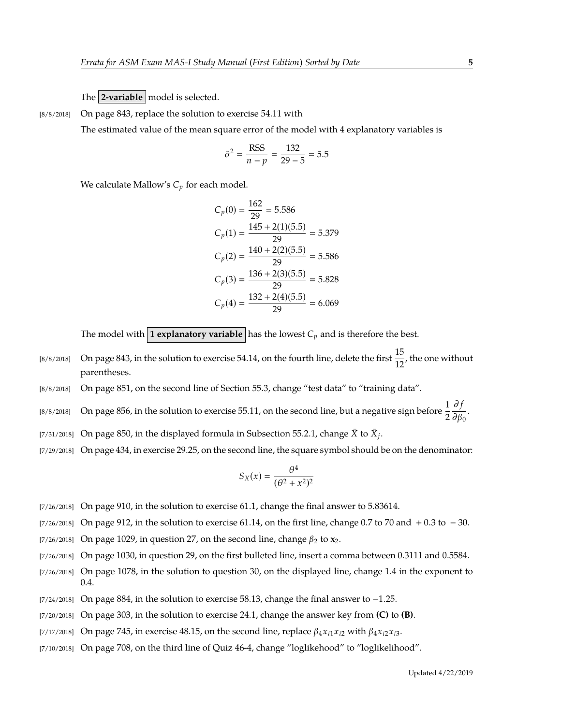The **2-variable** model is selected.

[8/8/2018] On page 843, replace the solution to exercise 54.11 with

The estimated value of the mean square error of the model with 4 explanatory variables is

$$
\hat{\sigma}^2 = \frac{\text{RSS}}{n - p} = \frac{132}{29 - 5} = 5.5
$$

We calculate Mallow's  $C_p$  for each model.

$$
C_p(0) = \frac{162}{29} = 5.586
$$
  
\n
$$
C_p(1) = \frac{145 + 2(1)(5.5)}{29} = 5.379
$$
  
\n
$$
C_p(2) = \frac{140 + 2(2)(5.5)}{29} = 5.586
$$
  
\n
$$
C_p(3) = \frac{136 + 2(3)(5.5)}{29} = 5.828
$$
  
\n
$$
C_p(4) = \frac{132 + 2(4)(5.5)}{29} = 6.069
$$

The model with **1 explanatory variable** has the lowest  $C_p$  and is therefore the best.

- [8/8/2018] On page 843, in the solution to exercise 54.14, on the fourth line, delete the first  $\frac{15}{12}$ , the one without parentheses.
- [8/8/2018] On page 851, on the second line of Section 55.3, change "test data" to "training data".
- [8/8/2018] On page 856, in the solution to exercise 55.11, on the second line, but a negative sign before  $\frac{1}{2}$ ∂ *f*  $\frac{\partial}{\partial \beta_0}$ .
- [7/31/2018] On page 850, in the displayed formula in Subsection 55.2.1, change  $\bar{X}$  to  $\bar{X}_j$ .
- [7/29/2018] On page 434, in exercise 29.25, on the second line, the square symbol should be on the denominator:

$$
S_X(x) = \frac{\theta^4}{(\theta^2 + x^2)^2}
$$

- [7/26/2018] On page 910, in the solution to exercise 61.1, change the final answer to 5.83614.
- [7/26/2018] On page 912, in the solution to exercise 61.14, on the first line, change 0.7 to 70 and + 0.3 to  $-30$ .
- [7/26/2018] On page 1029, in question 27, on the second line, change  $\beta_2$  to  $\mathbf{x}_2$ .
- [7/26/2018] On page 1030, in question 29, on the first bulleted line, insert a comma between 0.3111 and 0.5584.
- [7/26/2018] On page 1078, in the solution to question 30, on the displayed line, change 1.4 in the exponent to 0.4.
- [7/24/2018] On page 884, in the solution to exercise 58.13, change the final answer to −1.25.
- [7/20/2018] On page 303, in the solution to exercise 24.1, change the answer key from **(C)** to **(B)**.
- [7/17/2018] On page 745, in exercise 48.15, on the second line, replace  $\beta_4 x_{i1} x_{i2}$  with  $\beta_4 x_{i2} x_{i3}$ .
- [7/10/2018] On page 708, on the third line of Quiz 46-4, change "loglikehood" to "loglikelihood".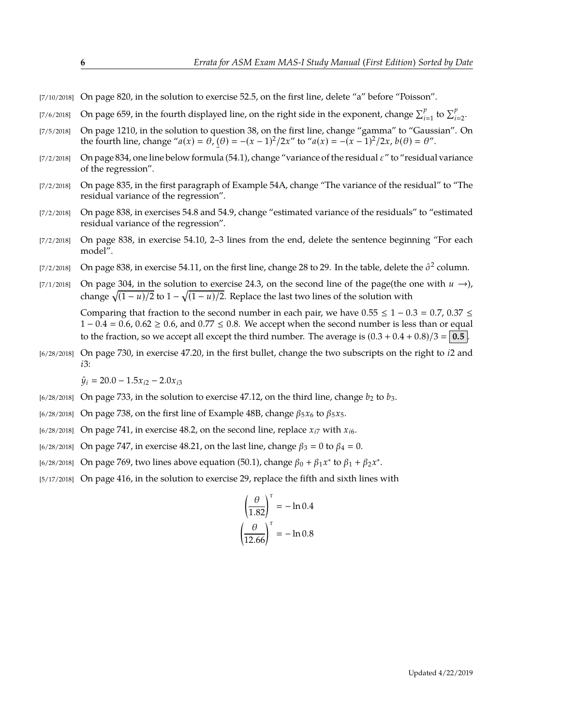- [7/10/2018] On page 820, in the solution to exercise 52.5, on the first line, delete "a" before "Poisson".
- [7/6/2018] On page 659, in the fourth displayed line, on the right side in the exponent, change  $\sum_{i=1}^{p}$  to  $\sum_{i=2}^{p}$ .
- [7/5/2018] On page 1210, in the solution to question 38, on the first line, change "gamma" to "Gaussian". On the fourth line, change " $a(x) = \theta$ ,  $(\theta) = -(x - 1)^2/2x$ " to " $a(x) = -(x - 1)^2/2x$ ,  $b(\theta) = \theta$ ".
- -<br>-[7/2/2018] On page 834, one line below formula (54.1), change "variance of the residual  $\varepsilon$ " to "residual variance of the regression".
- [7/2/2018] On page 835, in the first paragraph of Example 54A, change "The variance of the residual" to "The residual variance of the regression".
- [7/2/2018] On page 838, in exercises 54.8 and 54.9, change "estimated variance of the residuals" to "estimated residual variance of the regression".
- [7/2/2018] On page 838, in exercise 54.10, 2–3 lines from the end, delete the sentence beginning "For each model".
- [7/2/2018] On page 838, in exercise 54.11, on the first line, change 28 to 29. In the table, delete the  $\hat{\sigma}^2$  column.
- [7/1/2018] On page 304, in the solution to exercise 24.3, on the second line of the page(the one with  $u \rightarrow$ ), change  $\sqrt{(1 - u)/2}$  to 1 −  $\sqrt{(1 - u)/2}$ . Replace the last two lines of the solution with

Comparing that fraction to the second number in each pair, we have  $0.55 \le 1 - 0.3 = 0.7$ ,  $0.37 \le$  $1 - 0.4 = 0.6$ ,  $0.62 \ge 0.6$ , and  $0.77 \le 0.8$ . We accept when the second number is less than or equal to the fraction, so we accept all except the third number. The average is  $(0.3 + 0.4 + 0.8)/3 = 0.5$ .

[6/28/2018] On page 730, in exercise 47.20, in the first bullet, change the two subscripts on the right to *i*2 and *i*3:

 $\hat{y}_i = 20.0 - 1.5x_{i2} - 2.0x_{i3}$ 

- $[6/28/2018]$  On page 733, in the solution to exercise 47.12, on the third line, change  $b_2$  to  $b_3$ .
- [6/28/2018] On page 738, on the first line of Example 48B, change β5*x*<sup>6</sup> to β5*x*5.
- $\frac{16}{28}$ /2018] On page 741, in exercise 48.2, on the second line, replace  $x_{i7}$  with  $x_{i6}$ .
- $[6/28/2018]$  On page 747, in exercise 48.21, on the last line, change  $β_3 = 0$  to  $β_4 = 0$ .
- <sup>[6/28/2018]</sup> On page 769, two lines above equation (50.1), change  $β_0 + β_1x^*$  to  $β_1 + β_2x^*$ .
- [5/17/2018] On page 416, in the solution to exercise 29, replace the fifth and sixth lines with

$$
\left(\frac{\theta}{1.82}\right)^{\tau} = -\ln 0.4
$$

$$
\left(\frac{\theta}{12.66}\right)^{\tau} = -\ln 0.8
$$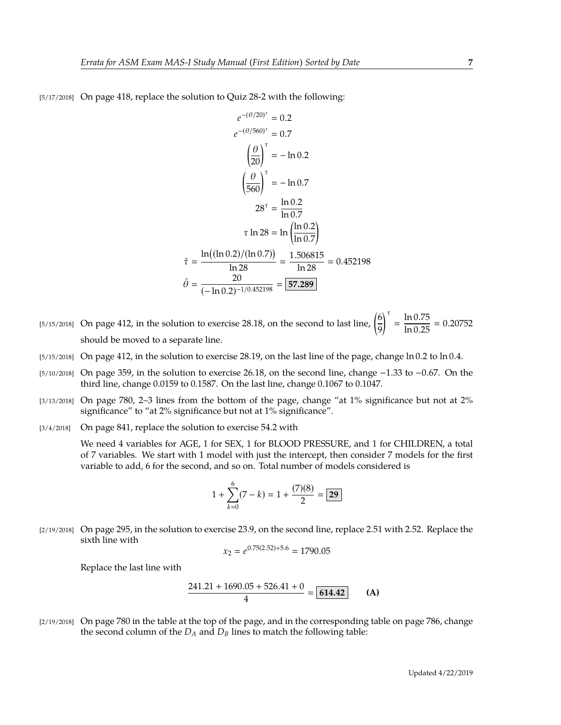[5/17/2018] On page 418, replace the solution to Quiz 28-2 with the following:

$$
e^{-(\theta/20)^{\tau}} = 0.2
$$
  
\n
$$
e^{-(\theta/560)^{\tau}} = 0.7
$$
  
\n
$$
\left(\frac{\theta}{20}\right)^{\tau} = -\ln 0.2
$$
  
\n
$$
\left(\frac{\theta}{560}\right)^{\tau} = -\ln 0.7
$$
  
\n
$$
28^{\tau} = \frac{\ln 0.2}{\ln 0.7}
$$
  
\n
$$
\tau \ln 28 = \ln \left(\frac{\ln 0.2}{\ln 0.7}\right)
$$
  
\n
$$
\hat{\tau} = \frac{\ln ((\ln 0.2)/(\ln 0.7))}{\ln 28} = \frac{1.506815}{\ln 28} = 0.452198
$$
  
\n
$$
\hat{\theta} = \frac{20}{(-\ln 0.2)^{-1/0.452198}} = \boxed{57.289}
$$

- [5/15/2018] On page 412, in the solution to exercise 28.18, on the second to last line,  $\left(\frac{6}{5}\right)$ 9  $\int_0^{\tau} = \frac{\ln 0.75}{\ln 0.25} = 0.20752$ should be moved to a separate line.
- [5/15/2018] On page 412, in the solution to exercise 28.19, on the last line of the page, change ln 0.2 to ln 0.4.
- [5/10/2018] On page 359, in the solution to exercise 26.18, on the second line, change −1.33 to −0.67. On the third line, change 0.0159 to 0.1587. On the last line, change 0.1067 to 0.1047.
- [3/13/2018] On page 780, 2–3 lines from the bottom of the page, change "at 1% significance but not at 2% significance" to "at 2% significance but not at 1% significance".
- [3/4/2018] On page 841, replace the solution to exercise 54.2 with

We need 4 variables for AGE, 1 for SEX, 1 for BLOOD PRESSURE, and 1 for CHILDREN, a total of 7 variables. We start with 1 model with just the intercept, then consider 7 models for the first variable to add, 6 for the second, and so on. Total number of models considered is

$$
1 + \sum_{k=0}^{6} (7 - k) = 1 + \frac{(7)(8)}{2} = \boxed{29}
$$

[2/19/2018] On page 295, in the solution to exercise 23.9, on the second line, replace 2.51 with 2.52. Replace the sixth line with

$$
x_2 = e^{0.75(2.52) + 5.6} = 1790.05
$$

Replace the last line with

$$
\frac{241.21 + 1690.05 + 526.41 + 0}{4} = \boxed{614.42}
$$
 (A)

[2/19/2018] On page 780 in the table at the top of the page, and in the corresponding table on page 786, change the second column of the  $D_A$  and  $D_B$  lines to match the following table: